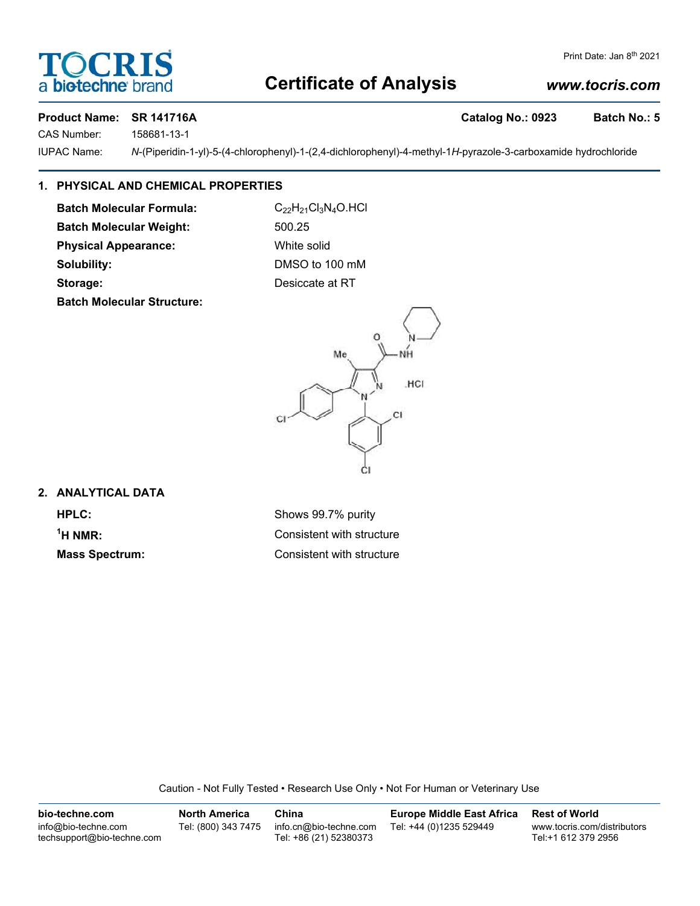## **Certificate of Analysis**

### *www.tocris.com*

Print Date: Jan 8<sup>th</sup> 2021

**OCRI** 

**biotechne** bi

CAS Number: 158681-13-1

IUPAC Name: *N*-(Piperidin-1-yl)-5-(4-chlorophenyl)-1-(2,4-dichlorophenyl)-4-methyl-1*H*-pyrazole-3-carboxamide hydrochloride

#### **1. PHYSICAL AND CHEMICAL PROPERTIES**

**Batch Molecular Formula:** C<sub>22</sub>H<sub>21</sub>Cl<sub>3</sub>N<sub>4</sub>O.HCl

**Batch Molecular Structure:**





#### **2. ANALYTICAL DATA**

<sup>1</sup>H NMR:

**HPLC:** Shows 99.7% purity **Consistent with structure Mass Spectrum:** Consistent with structure

Caution - Not Fully Tested • Research Use Only • Not For Human or Veterinary Use

**bio-techne.com** info@bio-techne.com techsupport@bio-techne.com **North America** Tel: (800) 343 7475 **China** info.cn@bio-techne.com Tel: +86 (21) 52380373 **Europe Middle East Africa** Tel: +44 (0)1235 529449 **Rest of World** www.tocris.com/distributors Tel:+1 612 379 2956



**Product Name: SR 141716A** Catalog No.: 0923 Batch No.: 5